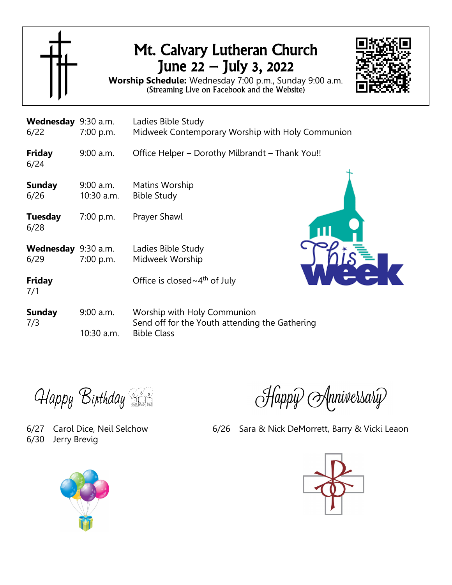

## Mt. Calvary Lutheran Church June 22 – July 3, 2022



**Worship Schedule:** Wednesday 7:00 p.m., Sunday 9:00 a.m. (Streaming Live on Facebook and the Website)

| Wednesday 9:30 a.m.<br>6/22 | 7:00 p.m.                 | Ladies Bible Study<br>Midweek Contemporary Worship with Holy Communion                              |  |  |  |  |
|-----------------------------|---------------------------|-----------------------------------------------------------------------------------------------------|--|--|--|--|
| <b>Friday</b><br>6/24       | $9:00$ a.m.               | Office Helper – Dorothy Milbrandt – Thank You!!                                                     |  |  |  |  |
| <b>Sunday</b><br>6/26       | $9:00$ a.m.<br>10:30 a.m. | Matins Worship<br><b>Bible Study</b>                                                                |  |  |  |  |
| <b>Tuesday</b><br>6/28      | 7:00 p.m.                 | Prayer Shawl                                                                                        |  |  |  |  |
| Wednesday<br>6/29           | $9:30$ a.m.<br>7:00 p.m.  | Ladies Bible Study<br>Midweek Worship                                                               |  |  |  |  |
| <b>Friday</b><br>7/1        |                           | Office is closed $\sim$ 4 <sup>th</sup> of July                                                     |  |  |  |  |
| <b>Sunday</b><br>7/3        | $9:00$ a.m.<br>10:30 a.m. | Worship with Holy Communion<br>Send off for the Youth attending the Gathering<br><b>Bible Class</b> |  |  |  |  |

**Happy Birthday** 

6/30 Jerry Brevig



6/27 Carol Dice, Neil Selchow 6/26 Sara & Nick DeMorrett, Barry & Vicki Leaon